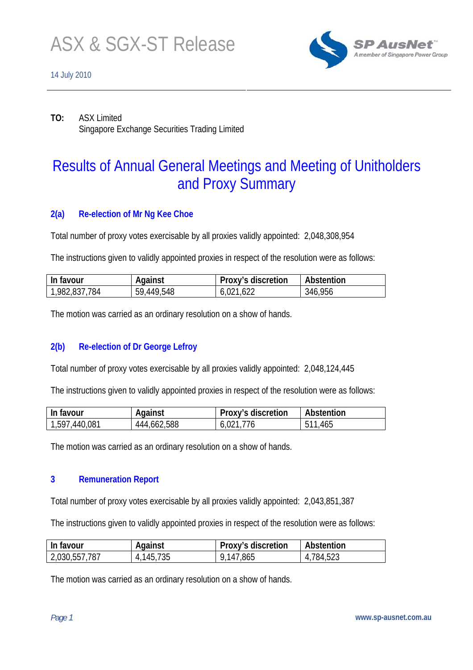

# 14 July 2010



**TO:** ASX Limited Singapore Exchange Securities Trading Limited

# Results of Annual General Meetings and Meeting of Unitholders and Proxy Summary

# **2(a) Re-election of Mr Ng Kee Choe**

Total number of proxy votes exercisable by all proxies validly appointed: 2,048,308,954

The instructions given to validly appointed proxies in respect of the resolution were as follows:

| In favour     | Against    | Proxy's discretion | Abstention |
|---------------|------------|--------------------|------------|
| 1,982,837,784 | 59,449,548 | 6,021,622          | 346,956    |

The motion was carried as an ordinary resolution on a show of hands.

## **2(b) Re-election of Dr George Lefroy**

Total number of proxy votes exercisable by all proxies validly appointed: 2,048,124,445

The instructions given to validly appointed proxies in respect of the resolution were as follows:

| In favour     | Against     | Proxy's discretion | Abstention |
|---------------|-------------|--------------------|------------|
| 1,597,440,081 | 444,662,588 | 6,021,776          | 511,465    |

The motion was carried as an ordinary resolution on a show of hands.

## **3 Remuneration Report**

Total number of proxy votes exercisable by all proxies validly appointed: 2,043,851,387

The instructions given to validly appointed proxies in respect of the resolution were as follows:

| In favour     | Against   | Proxy's discretion | Abstention |
|---------------|-----------|--------------------|------------|
| 2,030,557,787 | 4,145,735 | 9,147,865          | 4,784,523  |

The motion was carried as an ordinary resolution on a show of hands.